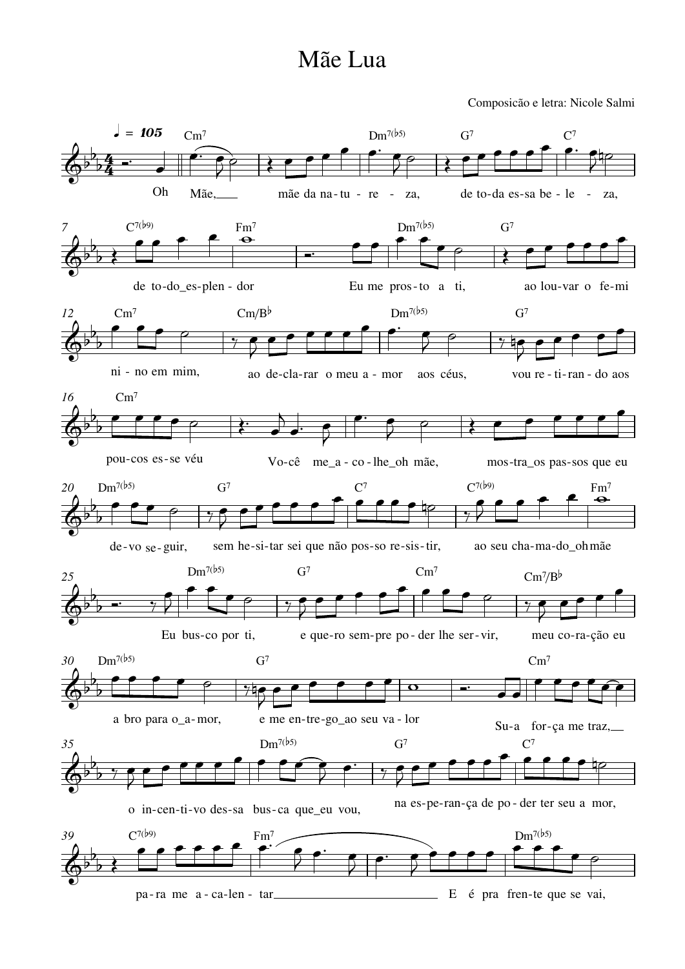## Mãe Lua

Composicão e letra: Nicole Salmi

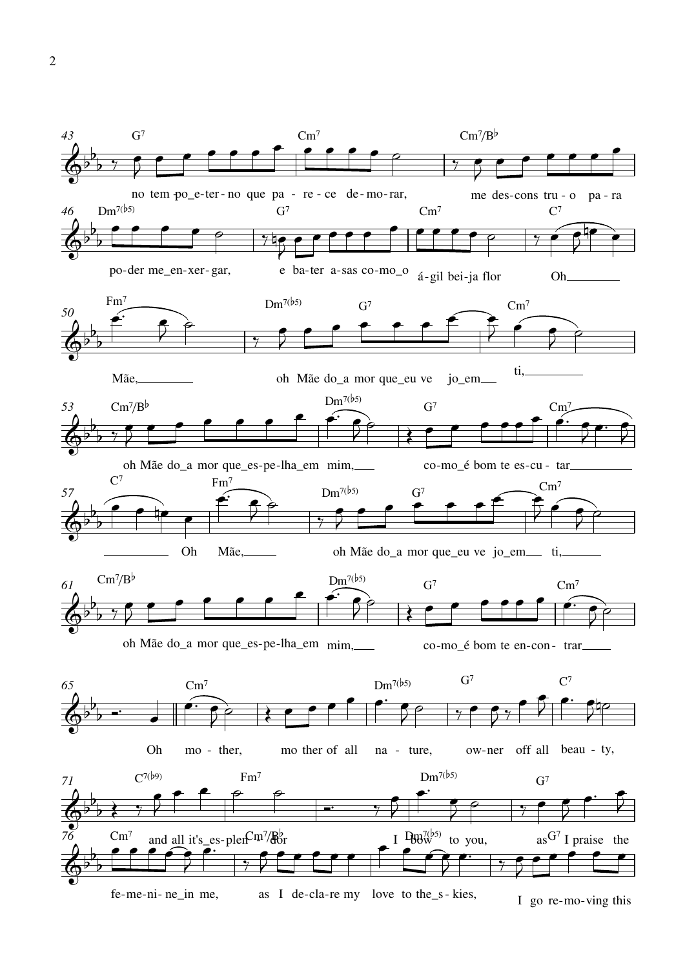

## $\overline{2}$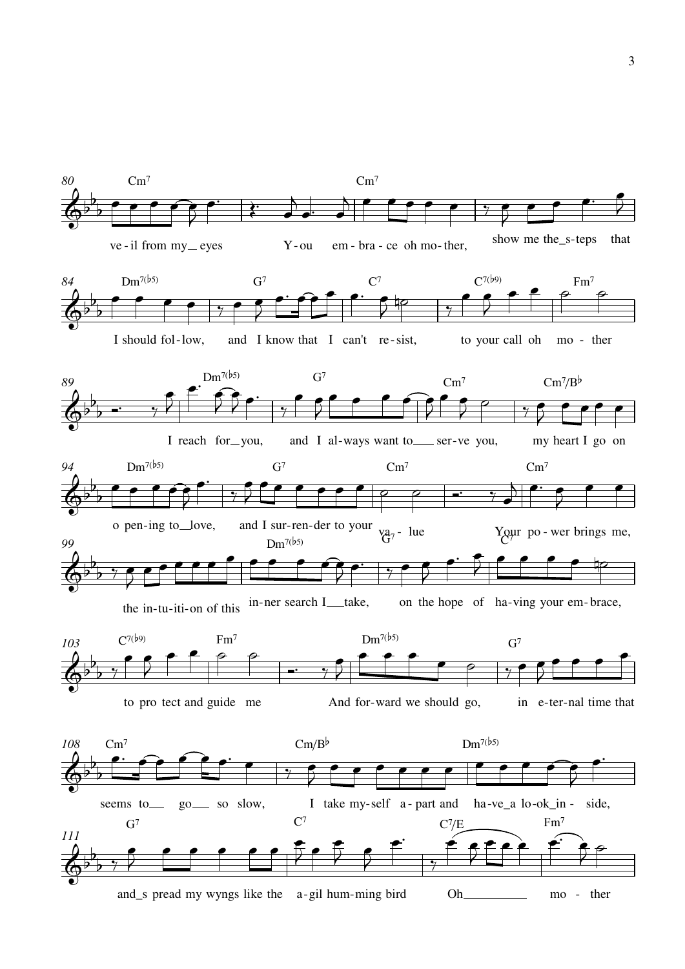